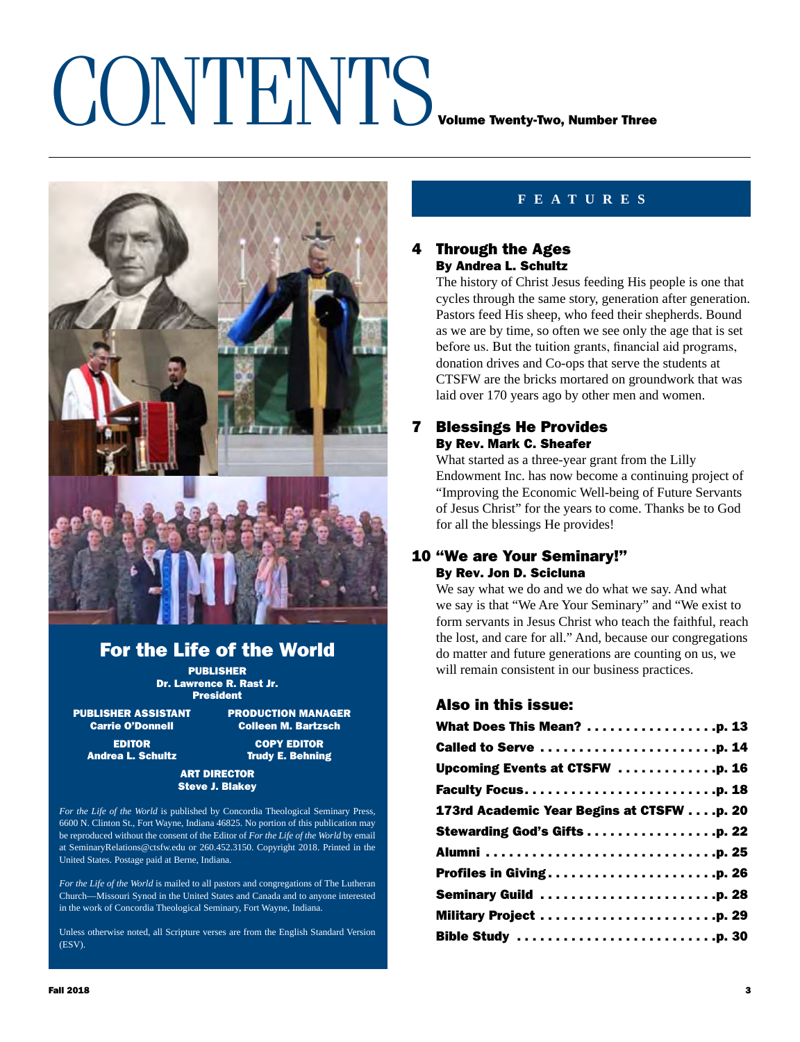## CONTENTS VOLUME TWENTING, Number Three



### For the Life of the World

PUBLISHER Dr. Lawrence R. Rast Jr. President

PUBLISHER ASSISTANT PRODUCTION MANAGER Carrie O'Donnell Colleen M. Bartzsch

EDITOR COPY EDITOR Andrea L. Schultz **Trudy E. Behning** 

#### ART DIRECTOR Steve J. Blakey

*For the Life of the World* is published by Concordia Theological Seminary Press, 6600 N. Clinton St., Fort Wayne, Indiana 46825. No portion of this publication may be reproduced without the consent of the Editor of *For the Life of the World* by email at SeminaryRelations@ctsfw.edu or 260.452.3150. Copyright 2018. Printed in the United States. Postage paid at Berne, Indiana.

*For the Life of the World* is mailed to all pastors and congregations of The Lutheran Church—Missouri Synod in the United States and Canada and to anyone interested in the work of Concordia Theological Seminary, Fort Wayne, Indiana.

Unless otherwise noted, all Scripture verses are from the English Standard Version (ESV).

#### **features**

#### 4 Through the Ages By Andrea L. Schultz

The history of Christ Jesus feeding His people is one that cycles through the same story, generation after generation. Pastors feed His sheep, who feed their shepherds. Bound as we are by time, so often we see only the age that is set before us. But the tuition grants, financial aid programs, donation drives and Co-ops that serve the students at CTSFW are the bricks mortared on groundwork that was laid over 170 years ago by other men and women.

#### 7 Blessings He Provides By Rev. Mark C. Sheafer

What started as a three-year grant from the Lilly Endowment Inc. has now become a continuing project of "Improving the Economic Well-being of Future Servants of Jesus Christ" for the years to come. Thanks be to God for all the blessings He provides!

#### 10 "We are Your Seminary!" By Rev. Jon D. Scicluna

We say what we do and we do what we say. And what we say is that "We Are Your Seminary" and "We exist to form servants in Jesus Christ who teach the faithful, reach the lost, and care for all." And, because our congregations do matter and future generations are counting on us, we will remain consistent in our business practices.

#### Also in this issue:

| What Does This Mean? p. 13               |
|------------------------------------------|
| Called to Serve p. 14                    |
| Upcoming Events at CTSFW p. 16           |
|                                          |
| 173rd Academic Year Begins at CTSFWp. 20 |
|                                          |
|                                          |
| <b>Profiles in Givingp. 26</b>           |
| Seminary Guild p. 28                     |
| Military Project p. 29                   |
|                                          |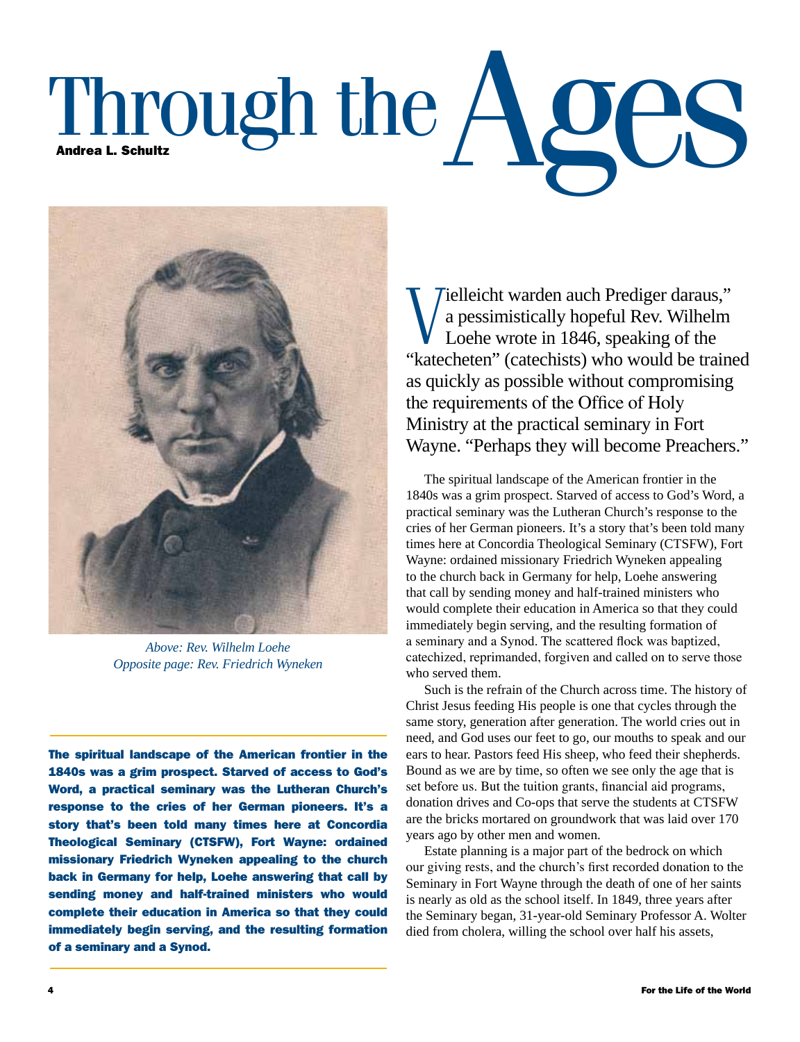# Through the  $AO$



*Above: Rev. Wilhelm Loehe Opposite page: Rev. Friedrich Wyneken*

The spiritual landscape of the American frontier in the 1840s was a grim prospect. Starved of access to God's Word, a practical seminary was the Lutheran Church's response to the cries of her German pioneers. It's a story that's been told many times here at Concordia Theological Seminary (CTSFW), Fort Wayne: ordained missionary Friedrich Wyneken appealing to the church back in Germany for help, Loehe answering that call by sending money and half-trained ministers who would complete their education in America so that they could immediately begin serving, and the resulting formation of a seminary and a Synod.

Vielleicht warden auch Prediger daraus,"<br>
a pessimistically hopeful Rev. Wilhelm<br>
Loehe wrote in 1846, speaking of the<br>
"Isotephator" (astabista) who would be trained a pessimistically hopeful Rev. Wilhelm Loehe wrote in 1846, speaking of the "katecheten" (catechists) who would be trained as quickly as possible without compromising the requirements of the Office of Holy Ministry at the practical seminary in Fort Wayne. "Perhaps they will become Preachers."

The spiritual landscape of the American frontier in the 1840s was a grim prospect. Starved of access to God's Word, a practical seminary was the Lutheran Church's response to the cries of her German pioneers. It's a story that's been told many times here at Concordia Theological Seminary (CTSFW), Fort Wayne: ordained missionary Friedrich Wyneken appealing to the church back in Germany for help, Loehe answering that call by sending money and half-trained ministers who would complete their education in America so that they could immediately begin serving, and the resulting formation of a seminary and a Synod. The scattered flock was baptized, catechized, reprimanded, forgiven and called on to serve those who served them.

Such is the refrain of the Church across time. The history of Christ Jesus feeding His people is one that cycles through the same story, generation after generation. The world cries out in need, and God uses our feet to go, our mouths to speak and our ears to hear. Pastors feed His sheep, who feed their shepherds. Bound as we are by time, so often we see only the age that is set before us. But the tuition grants, financial aid programs, donation drives and Co-ops that serve the students at CTSFW are the bricks mortared on groundwork that was laid over 170 years ago by other men and women.

Estate planning is a major part of the bedrock on which our giving rests, and the church's first recorded donation to the Seminary in Fort Wayne through the death of one of her saints is nearly as old as the school itself. In 1849, three years after the Seminary began, 31-year-old Seminary Professor A. Wolter died from cholera, willing the school over half his assets,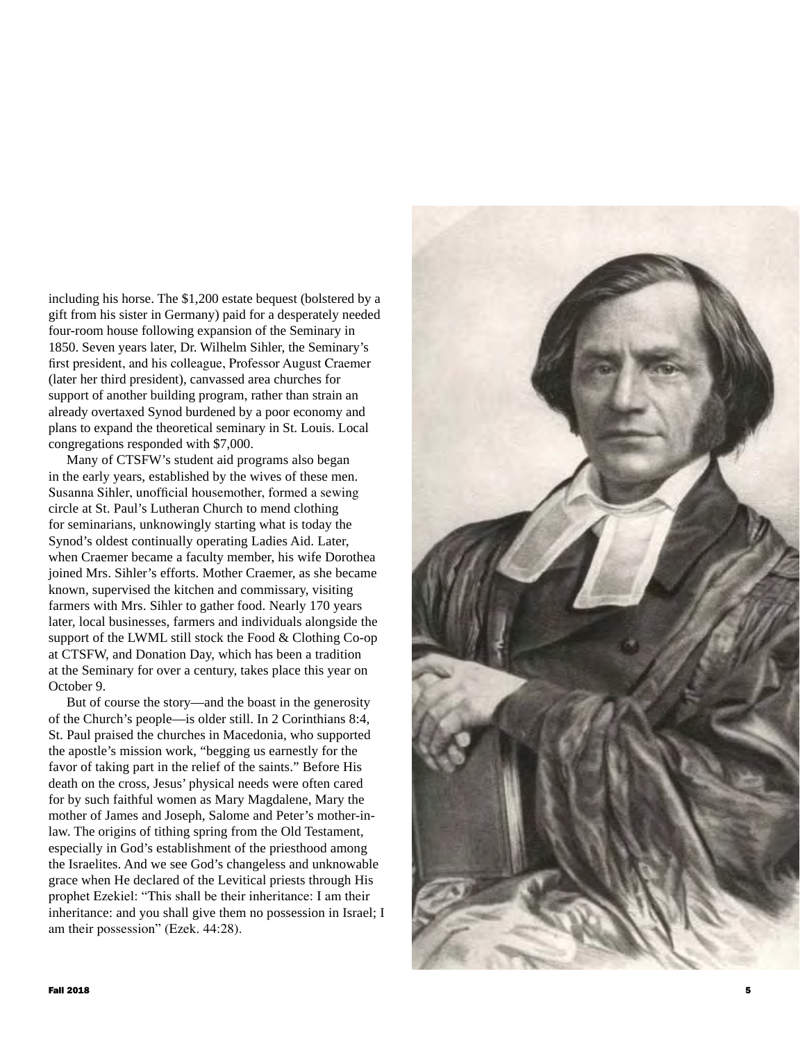including his horse. The \$1,200 estate bequest (bolstered by a gift from his sister in Germany) paid for a desperately needed four-room house following expansion of the Seminary in 1850. Seven years later, Dr. Wilhelm Sihler, the Seminary's first president, and his colleague, Professor August Craemer (later her third president), canvassed area churches for support of another building program, rather than strain an already overtaxed Synod burdened by a poor economy and plans to expand the theoretical seminary in St. Louis. Local congregations responded with \$7,000.

Many of CTSFW's student aid programs also began in the early years, established by the wives of these men. Susanna Sihler, unofficial housemother, formed a sewing circle at St. Paul's Lutheran Church to mend clothing for seminarians, unknowingly starting what is today the Synod's oldest continually operating Ladies Aid. Later, when Craemer became a faculty member, his wife Dorothea joined Mrs. Sihler's efforts. Mother Craemer, as she became known, supervised the kitchen and commissary, visiting farmers with Mrs. Sihler to gather food. Nearly 170 years later, local businesses, farmers and individuals alongside the support of the LWML still stock the Food & Clothing Co-op at CTSFW, and Donation Day, which has been a tradition at the Seminary for over a century, takes place this year on October 9.

But of course the story—and the boast in the generosity of the Church's people—is older still. In 2 Corinthians 8:4, St. Paul praised the churches in Macedonia, who supported the apostle's mission work, "begging us earnestly for the favor of taking part in the relief of the saints." Before His death on the cross, Jesus' physical needs were often cared for by such faithful women as Mary Magdalene, Mary the mother of James and Joseph, Salome and Peter's mother-inlaw. The origins of tithing spring from the Old Testament, especially in God's establishment of the priesthood among the Israelites. And we see God's changeless and unknowable grace when He declared of the Levitical priests through His prophet Ezekiel: "This shall be their inheritance: I am their inheritance: and you shall give them no possession in Israel; I am their possession" (Ezek. 44:28).